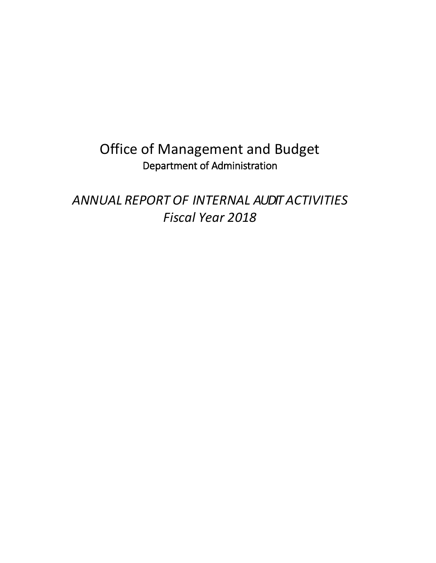## Office of Management and Budget Department of Administration

*ANNUAL REPORT OF INTERNAL AUDIT ACTIVITIES Fiscal Year 2018*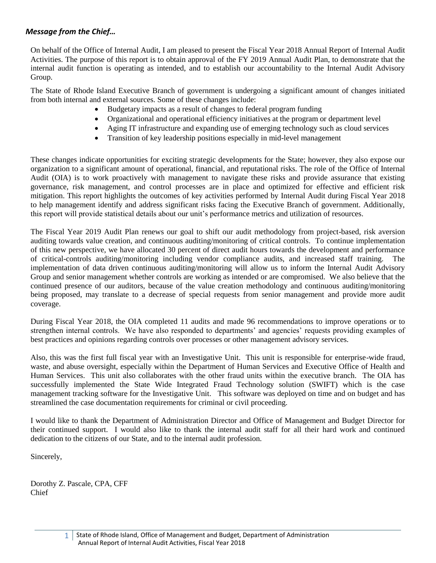## <span id="page-1-0"></span>*Message from the Chief…*

On behalf of the Office of Internal Audit, I am pleased to present the Fiscal Year 2018 Annual Report of Internal Audit Activities. The purpose of this report is to obtain approval of the FY 2019 Annual Audit Plan, to demonstrate that the internal audit function is operating as intended, and to establish our accountability to the Internal Audit Advisory Group.

The State of Rhode Island Executive Branch of government is undergoing a significant amount of changes initiated from both internal and external sources. Some of these changes include:

- Budgetary impacts as a result of changes to federal program funding
- Organizational and operational efficiency initiatives at the program or department level
- Aging IT infrastructure and expanding use of emerging technology such as cloud services
- Transition of key leadership positions especially in mid-level management

These changes indicate opportunities for exciting strategic developments for the State; however, they also expose our organization to a significant amount of operational, financial, and reputational risks. The role of the Office of Internal Audit (OIA) is to work proactively with management to navigate these risks and provide assurance that existing governance, risk management, and control processes are in place and optimized for effective and efficient risk mitigation. This report highlights the outcomes of key activities performed by Internal Audit during Fiscal Year 2018 to help management identify and address significant risks facing the Executive Branch of government. Additionally, this report will provide statistical details about our unit's performance metrics and utilization of resources.

The Fiscal Year 2019 Audit Plan renews our goal to shift our audit methodology from project-based, risk aversion auditing towards value creation, and continuous auditing/monitoring of critical controls. To continue implementation of this new perspective, we have allocated 30 percent of direct audit hours towards the development and performance of critical-controls auditing/monitoring including vendor compliance audits, and increased staff training. The implementation of data driven continuous auditing/monitoring will allow us to inform the Internal Audit Advisory Group and senior management whether controls are working as intended or are compromised. We also believe that the continued presence of our auditors, because of the value creation methodology and continuous auditing/monitoring being proposed, may translate to a decrease of special requests from senior management and provide more audit coverage.

During Fiscal Year 2018, the OIA completed 11 audits and made 96 recommendations to improve operations or to strengthen internal controls. We have also responded to departments' and agencies' requests providing examples of best practices and opinions regarding controls over processes or other management advisory services.

Also, this was the first full fiscal year with an Investigative Unit. This unit is responsible for enterprise-wide fraud, waste, and abuse oversight, especially within the Department of Human Services and Executive Office of Health and Human Services. This unit also collaborates with the other fraud units within the executive branch. The OIA has successfully implemented the State Wide Integrated Fraud Technology solution (SWIFT) which is the case management tracking software for the Investigative Unit. This software was deployed on time and on budget and has streamlined the case documentation requirements for criminal or civil proceeding.

I would like to thank the Department of Administration Director and Office of Management and Budget Director for their continued support. I would also like to thank the internal audit staff for all their hard work and continued dedication to the citizens of our State, and to the internal audit profession.

Sincerely,

Dorothy Z. Pascale, CPA, CFF Chief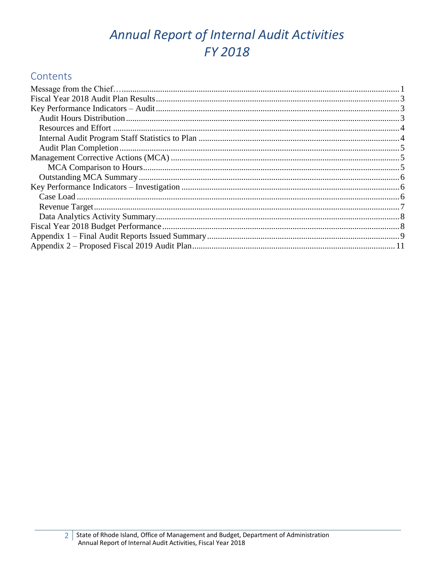# Annual Report of Internal Audit Activities FY 2018

## Contents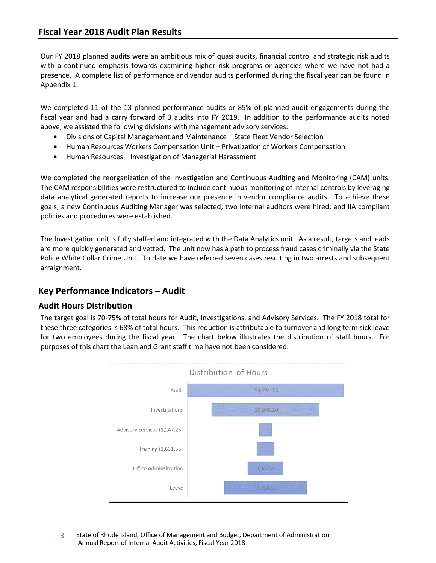<span id="page-3-0"></span>Our FY 2018 planned audits were an ambitious mix of quasi audits, financial control and strategic risk audits with a continued emphasis towards examining higher risk programs or agencies where we have not had a presence. A complete list of performance and vendor audits performed during the fiscal year can be found in Appendix 1.

We completed 11 of the 13 planned performance audits or 85% of planned audit engagements during the fiscal year and had a carry forward of 3 audits into FY 2019. In addition to the performance audits noted above, we assisted the following divisions with management advisory services:

- Divisions of Capital Management and Maintenance State Fleet Vendor Selection
- Human Resources Workers Compensation Unit Privatization of Workers Compensation
- Human Resources Investigation of Managerial Harassment

We completed the reorganization of the Investigation and Continuous Auditing and Monitoring (CAM) units. The CAM responsibilities were restructured to include continuous monitoring of internal controls by leveraging data analytical generated reports to increase our presence in vendor compliance audits. To achieve these goals, a new Continuous Auditing Manager was selected; two internal auditors were hired; and IIA compliant policies and procedures were established.

The Investigation unit is fully staffed and integrated with the Data Analytics unit. As a result, targets and leads are more quickly generated and vetted. The unit now has a path to process fraud cases criminally via the State Police White Collar Crime Unit. To date we have referred seven cases resulting in two arrests and subsequent arraignment.

## <span id="page-3-1"></span>**Key Performance Indicators – Audit**

#### <span id="page-3-2"></span>**Audit Hours Distribution**

The target goal is 70-75% of total hours for Audit, Investigations, and Advisory Services. The FY 2018 total for these three categories is 68% of total hours. This reduction is attributable to turnover and long term sick leave for two employees during the fiscal year. The chart below illustrates the distribution of staff hours. For purposes of this chart the Lean and Grant staff time have not been considered.

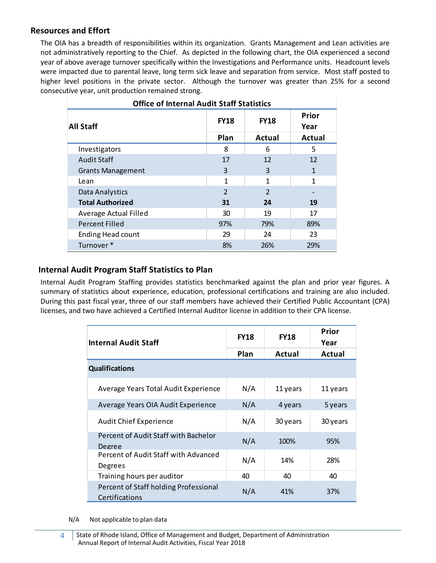#### <span id="page-4-0"></span>**Resources and Effort**

The OIA has a breadth of responsibilities within its organization. Grants Management and Lean activities are not administratively reporting to the Chief. As depicted in the following chart, the OIA experienced a second year of above average turnover specifically within the Investigations and Performance units. Headcount levels were impacted due to parental leave, long term sick leave and separation from service. Most staff posted to higher level positions in the private sector. Although the turnover was greater than 25% for a second consecutive year, unit production remained strong.

| <b>Office of Internal Audit Staff Statistics</b> |               |                |                      |  |  |  |  |
|--------------------------------------------------|---------------|----------------|----------------------|--|--|--|--|
| <b>All Staff</b>                                 | <b>FY18</b>   | <b>FY18</b>    | <b>Prior</b><br>Year |  |  |  |  |
|                                                  | Plan          | <b>Actual</b>  | Actual               |  |  |  |  |
| Investigators                                    | 8             | 6              | 5                    |  |  |  |  |
| <b>Audit Staff</b>                               | 17            | 12             | 12                   |  |  |  |  |
| <b>Grants Management</b>                         | 3             | 3              | 1                    |  |  |  |  |
| Lean                                             | 1             | 1              | 1                    |  |  |  |  |
| Data Analystics                                  | $\mathcal{P}$ | $\overline{2}$ |                      |  |  |  |  |
| <b>Total Authorized</b>                          | 31            | 24             | 19                   |  |  |  |  |
| Average Actual Filled                            | 30            | 19             | 17                   |  |  |  |  |
| <b>Percent Filled</b>                            | 97%           | 79%            | 89%                  |  |  |  |  |
| <b>Ending Head count</b>                         | 29            | 24             | 23                   |  |  |  |  |
| Turnover*                                        | 8%            | 26%            | 29%                  |  |  |  |  |

#### <span id="page-4-1"></span>**Internal Audit Program Staff Statistics to Plan**

Internal Audit Program Staffing provides statistics benchmarked against the plan and prior year figures. A summary of statistics about experience, education, professional certifications and training are also included. During this past fiscal year, three of our staff members have achieved their Certified Public Accountant (CPA) licenses, and two have achieved a Certified Internal Auditor license in addition to their CPA license.

| <b>Internal Audit Staff</b>                             | <b>FY18</b> | <b>FY18</b> | <b>Prior</b><br>Year |
|---------------------------------------------------------|-------------|-------------|----------------------|
|                                                         | Plan        | Actual      | Actual               |
| <b>Qualifications</b>                                   |             |             |                      |
| Average Years Total Audit Experience                    | N/A         | 11 years    | 11 years             |
| Average Years OIA Audit Experience                      | N/A         | 4 years     | 5 years              |
| <b>Audit Chief Experience</b>                           | N/A         | 30 years    | 30 years             |
| Percent of Audit Staff with Bachelor<br>Degree          | N/A         | 100%        | 95%                  |
| Percent of Audit Staff with Advanced<br>Degrees         | N/A         | 14%         | 28%                  |
| Training hours per auditor                              | 40          | 40          | 40                   |
| Percent of Staff holding Professional<br>Certifications | N/A         | 41%         | 37%                  |

N/A Not applicable to plan data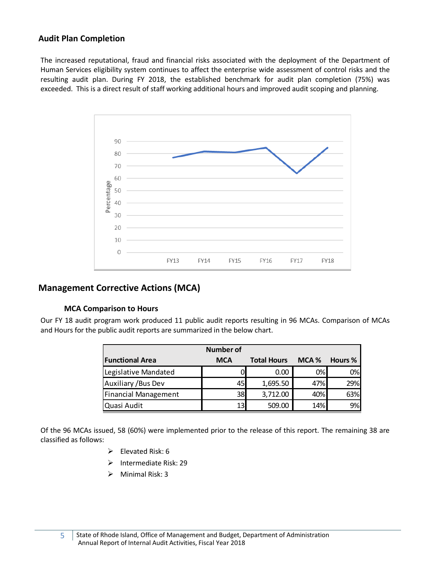### <span id="page-5-0"></span>**Audit Plan Completion**

The increased reputational, fraud and financial risks associated with the deployment of the Department of Human Services eligibility system continues to affect the enterprise wide assessment of control risks and the resulting audit plan. During FY 2018, the established benchmark for audit plan completion (75%) was exceeded. This is a direct result of staff working additional hours and improved audit scoping and planning.



### <span id="page-5-1"></span>**Management Corrective Actions (MCA)**

#### **MCA Comparison to Hours**

<span id="page-5-2"></span>Our FY 18 audit program work produced 11 public audit reports resulting in 96 MCAs. Comparison of MCAs and Hours for the public audit reports are summarized in the below chart.

| <b>Number of</b>            |            |                    |       |                |  |  |  |  |
|-----------------------------|------------|--------------------|-------|----------------|--|--|--|--|
| <b>Functional Area</b>      | <b>MCA</b> | <b>Total Hours</b> | MCA % | <b>Hours %</b> |  |  |  |  |
| Legislative Mandated        |            | 0.00               | 0%    | 0%             |  |  |  |  |
| <b>Auxiliary / Bus Dev</b>  | 45         | 1,695.50           | 47%   | 29%            |  |  |  |  |
| <b>Financial Management</b> | 38         | 3,712.00           | 40%   | 63%            |  |  |  |  |
| Quasi Audit                 | 13         | 509.00             | 14%   | 9%             |  |  |  |  |

Of the 96 MCAs issued, 58 (60%) were implemented prior to the release of this report. The remaining 38 are classified as follows:

- ➢ Elevated Risk: 6
- ➢ Intermediate Risk: 29
- ➢ Minimal Risk: 3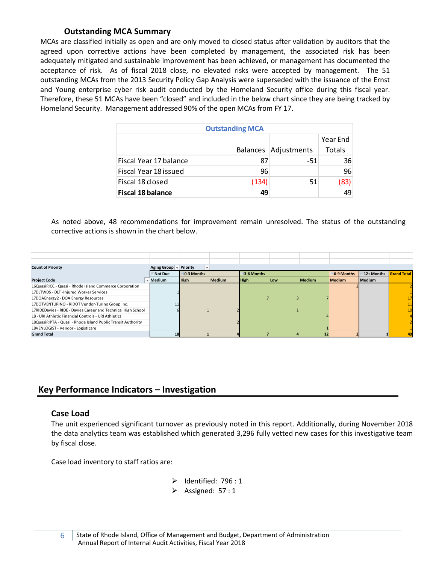## **Outstanding MCA Summary**

<span id="page-6-0"></span>MCAs are classified initially as open and are only moved to closed status after validation by auditors that the agreed upon corrective actions have been completed by management, the associated risk has been adequately mitigated and sustainable improvement has been achieved, or management has documented the acceptance of risk. As of fiscal 2018 close, no elevated risks were accepted by management. The 51 outstanding MCAs from the 2013 Security Policy Gap Analysis were superseded with the issuance of the Ernst and Young enterprise cyber risk audit conducted by the Homeland Security office during this fiscal year. Therefore, these 51 MCAs have been "closed" and included in the below chart since they are being tracked by Homeland Security. Management addressed 90% of the open MCAs from FY 17.

| <b>Outstanding MCA</b>   |       |                        |        |  |  |  |
|--------------------------|-------|------------------------|--------|--|--|--|
| Year End                 |       |                        |        |  |  |  |
|                          |       | Balances   Adjustments | Totals |  |  |  |
| Fiscal Year 17 balance   | 87    | -51                    | 36     |  |  |  |
| Fiscal Year 18 issued    | 96    |                        | 96     |  |  |  |
| Fiscal 18 closed         | (134) | 51                     | (83)   |  |  |  |
| <b>Fiscal 18 balance</b> | 49    |                        | 49     |  |  |  |

As noted above, 48 recommendations for improvement remain unresolved. The status of the outstanding corrective actions is shown in the chart below.

| <b>Count of Priority</b>                                      | Aging Group – | Priority<br>$\mathbf{v}$ |               |                  |     |               |                  |                  |                    |
|---------------------------------------------------------------|---------------|--------------------------|---------------|------------------|-----|---------------|------------------|------------------|--------------------|
|                                                               | ⊟Not Due      | $\Xi$ 0-3 Months         |               | $\Xi$ 3-6 Months |     |               | $\Xi$ 6-9 Months | $\Xi$ 12+ Months | <b>Grand Total</b> |
| <b>Project Code</b>                                           | Medium        | High                     | <b>Medium</b> | <b>High</b>      | Low | <b>Medium</b> | <b>Medium</b>    | Medium           |                    |
| 16QuasiRICC - Quasi - Rhode Island Commerce Corporation       |               |                          |               |                  |     |               |                  |                  |                    |
| 17DLTWDS - DLT - Injured Worker Services                      |               |                          |               |                  |     |               |                  |                  |                    |
| 17DOAEnergy2 - DOA Energy Resources                           |               |                          |               |                  |     |               |                  |                  |                    |
| 17DOTVENTURINO - RIDOT Vendor-Turino Group Inc.               |               |                          |               |                  |     |               |                  |                  |                    |
| 17RIDEDavies - RIDE - Davies Career and Technical High School |               |                          |               |                  |     |               |                  |                  |                    |
| 18 - URI Athletic Financial Controls - URI Athletics          |               |                          |               |                  |     |               |                  |                  |                    |
| 18QuasiRIPTA - Quasi - Rhode Island Public Transit Authority  |               |                          |               |                  |     |               |                  |                  |                    |
| 18VENLOGIST - Vendor - Logisticare                            |               |                          |               |                  |     |               |                  |                  |                    |
| <b>Grand Total</b>                                            | 18            |                          |               |                  |     |               |                  |                  |                    |

## <span id="page-6-1"></span>**Key Performance Indicators – Investigation**

#### <span id="page-6-2"></span>**Case Load**

The unit experienced significant turnover as previously noted in this report. Additionally, during November 2018 the data analytics team was established which generated 3,296 fully vetted new cases for this investigative team by fiscal close.

Case load inventory to staff ratios are:

- ➢ Identified: 796 : 1
- ➢ Assigned: 57 : 1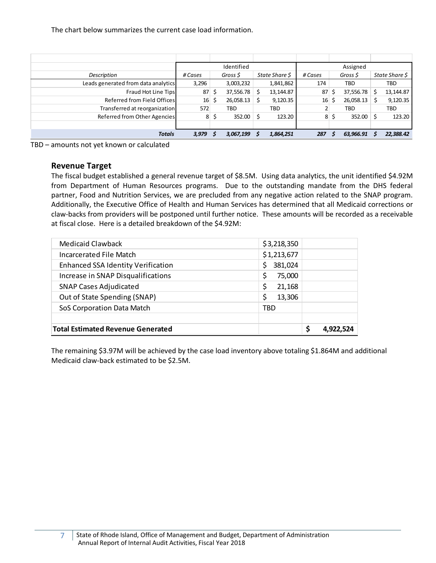The chart below summarizes the current case load information.

|                                     |         | Identified           |                | Assigned |    |           |   |                |
|-------------------------------------|---------|----------------------|----------------|----------|----|-----------|---|----------------|
| Description                         | # Cases | Gross \$             | State Share \$ | # Cases  |    | Gross \$  |   | State Share \$ |
| Leads generated from data analytics | 3,296   | 3,003,232            | 1,841,862      | 174      |    | TBD       |   | TBD            |
| Fraud Hot Line Tips                 | 87      | \$<br>37,556.78      | 13,144.87      | 87       | S  | 37,556.78 | Ŝ | 13,144.87      |
| Referred from Field Offices         | 16      | \$<br>$26,058.13$ \$ | 9,120.35       | 16       | S  | 26,058.13 |   | 9,120.35       |
| Transferred at reorganization       | 572     | TBD                  | TBD            | 2        |    | TBD       |   | TBD            |
| Referred from Other Agencies        | 8       | \$<br>$352.00$ \ \$  | 123.20         | 8        | Ŝ. | 352.00    | Ś | 123.20         |
|                                     |         |                      |                |          |    |           |   |                |
| <b>Totals</b>                       | 3,979   | 3,067,199            | 1,864,251      | 287      |    | 63,966.91 |   | 22,388.42      |

<span id="page-7-0"></span>TBD – amounts not yet known or calculated

#### **Revenue Target**

The fiscal budget established a general revenue target of \$8.5M. Using data analytics, the unit identified \$4.92M from Department of Human Resources programs. Due to the outstanding mandate from the DHS federal partner, Food and Nutrition Services, we are precluded from any negative action related to the SNAP program. Additionally, the Executive Office of Health and Human Services has determined that all Medicaid corrections or claw-backs from providers will be postponed until further notice. These amounts will be recorded as a receivable at fiscal close. Here is a detailed breakdown of the \$4.92M:

| Medicaid Clawback<br>Incarcerated File Match | \$3,218,350<br>\$1,213,677 |                 |
|----------------------------------------------|----------------------------|-----------------|
| <b>Enhanced SSA Identity Verification</b>    | 381,024<br>\$              |                 |
| Increase in SNAP Disqualifications           | \$<br>75,000               |                 |
| <b>SNAP Cases Adjudicated</b>                | \$<br>21,168               |                 |
| Out of State Spending (SNAP)                 | \$<br>13,306               |                 |
| SoS Corporation Data Match                   | TBD                        |                 |
|                                              |                            |                 |
| <b>Total Estimated Revenue Generated</b>     |                            | \$<br>4.922.524 |

The remaining \$3.97M will be achieved by the case load inventory above totaling \$1.864M and additional Medicaid claw-back estimated to be \$2.5M.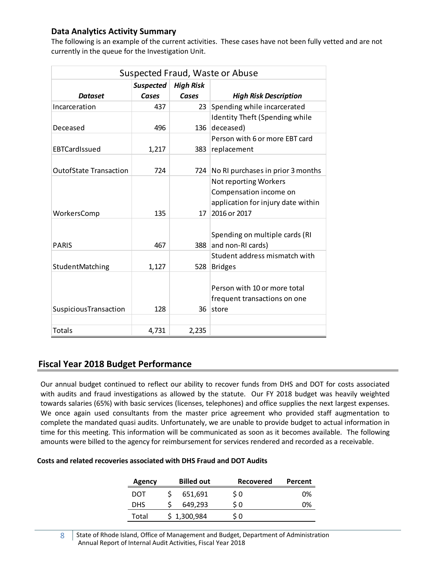## <span id="page-8-0"></span>**Data Analytics Activity Summary**

The following is an example of the current activities. These cases have not been fully vetted and are not currently in the queue for the Investigation Unit.

| Suspected Fraud, Waste or Abuse |                  |                  |                                       |  |  |  |
|---------------------------------|------------------|------------------|---------------------------------------|--|--|--|
|                                 | <b>Suspected</b> | <b>High Risk</b> |                                       |  |  |  |
| <b>Dataset</b>                  | Cases            | Cases            | <b>High Risk Description</b>          |  |  |  |
| Incarceration                   | 437              | 23               | Spending while incarcerated           |  |  |  |
|                                 |                  |                  | <b>Identity Theft (Spending while</b> |  |  |  |
| Deceased                        | 496              | 136              | deceased)                             |  |  |  |
|                                 |                  |                  | Person with 6 or more EBT card        |  |  |  |
| EBTCardIssued                   | 1,217            | 383              | replacement                           |  |  |  |
|                                 |                  |                  |                                       |  |  |  |
| <b>OutofState Transaction</b>   | 724              | 724              | No RI purchases in prior 3 months     |  |  |  |
|                                 |                  |                  | Not reporting Workers                 |  |  |  |
|                                 |                  |                  | Compensation income on                |  |  |  |
|                                 |                  |                  | application for injury date within    |  |  |  |
| WorkersComp                     | 135              | 17               | 2016 or 2017                          |  |  |  |
|                                 |                  |                  |                                       |  |  |  |
|                                 |                  |                  | Spending on multiple cards (RI        |  |  |  |
| <b>PARIS</b>                    | 467              | 388              | and non-RI cards)                     |  |  |  |
|                                 |                  |                  | Student address mismatch with         |  |  |  |
| StudentMatching                 | 1,127            | 528              | <b>Bridges</b>                        |  |  |  |
|                                 |                  |                  |                                       |  |  |  |
|                                 |                  |                  | Person with 10 or more total          |  |  |  |
|                                 |                  |                  | frequent transactions on one          |  |  |  |
| SuspiciousTransaction           | 128              | 36               | store                                 |  |  |  |
|                                 |                  |                  |                                       |  |  |  |
| Totals                          | 4,731            | 2,235            |                                       |  |  |  |

## <span id="page-8-1"></span>**Fiscal Year 2018 Budget Performance**

Our annual budget continued to reflect our ability to recover funds from DHS and DOT for costs associated with audits and fraud investigations as allowed by the statute. Our FY 2018 budget was heavily weighted towards salaries (65%) with basic services (licenses, telephones) and office supplies the next largest expenses. We once again used consultants from the master price agreement who provided staff augmentation to complete the mandated quasi audits. Unfortunately, we are unable to provide budget to actual information in time for this meeting. This information will be communicated as soon as it becomes available. The following amounts were billed to the agency for reimbursement for services rendered and recorded as a receivable.

#### **Costs and related recoveries associated with DHS Fraud and DOT Audits**

| Agency     | <b>Billed out</b> | <b>Recovered</b> | Percent |
|------------|-------------------|------------------|---------|
| DOT        | 651,691           | \$0              | 0%      |
| <b>DHS</b> | 649.293           | \$0              | 0%      |
| Total      | \$1,300,984       | S 0              |         |

8 State of Rhode Island, Office of Management and Budget, Department of Administration Annual Report of Internal Audit Activities, Fiscal Year 2018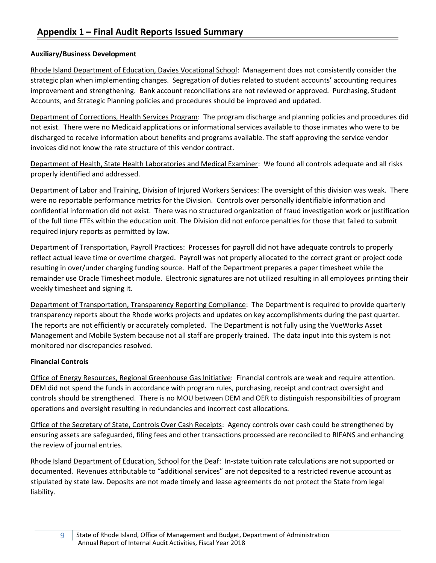#### <span id="page-9-0"></span>**Auxiliary/Business Development**

Rhode Island Department of Education, Davies Vocational School: Management does not consistently consider the strategic plan when implementing changes. Segregation of duties related to student accounts' accounting requires improvement and strengthening. Bank account reconciliations are not reviewed or approved. Purchasing, Student Accounts, and Strategic Planning policies and procedures should be improved and updated.

Department of Corrections, Health Services Program: The program discharge and planning policies and procedures did not exist. There were no Medicaid applications or informational services available to those inmates who were to be discharged to receive information about benefits and programs available. The staff approving the service vendor invoices did not know the rate structure of this vendor contract.

Department of Health, State Health Laboratories and Medical Examiner: We found all controls adequate and all risks properly identified and addressed.

Department of Labor and Training, Division of Injured Workers Services: The oversight of this division was weak. There were no reportable performance metrics for the Division. Controls over personally identifiable information and confidential information did not exist. There was no structured organization of fraud investigation work or justification of the full time FTEs within the education unit. The Division did not enforce penalties for those that failed to submit required injury reports as permitted by law.

Department of Transportation, Payroll Practices: Processes for payroll did not have adequate controls to properly reflect actual leave time or overtime charged. Payroll was not properly allocated to the correct grant or project code resulting in over/under charging funding source. Half of the Department prepares a paper timesheet while the remainder use Oracle Timesheet module. Electronic signatures are not utilized resulting in all employees printing their weekly timesheet and signing it.

Department of Transportation, Transparency Reporting Compliance: The Department is required to provide quarterly transparency reports about the Rhode works projects and updates on key accomplishments during the past quarter. The reports are not efficiently or accurately completed. The Department is not fully using the VueWorks Asset Management and Mobile System because not all staff are properly trained. The data input into this system is not monitored nor discrepancies resolved.

#### **Financial Controls**

Office of Energy Resources, Regional Greenhouse Gas Initiative: Financial controls are weak and require attention. DEM did not spend the funds in accordance with program rules, purchasing, receipt and contract oversight and controls should be strengthened. There is no MOU between DEM and OER to distinguish responsibilities of program operations and oversight resulting in redundancies and incorrect cost allocations.

Office of the Secretary of State, Controls Over Cash Receipts: Agency controls over cash could be strengthened by ensuring assets are safeguarded, filing fees and other transactions processed are reconciled to RIFANS and enhancing the review of journal entries.

Rhode Island Department of Education, School for the Deaf: In-state tuition rate calculations are not supported or documented. Revenues attributable to "additional services" are not deposited to a restricted revenue account as stipulated by state law. Deposits are not made timely and lease agreements do not protect the State from legal liability.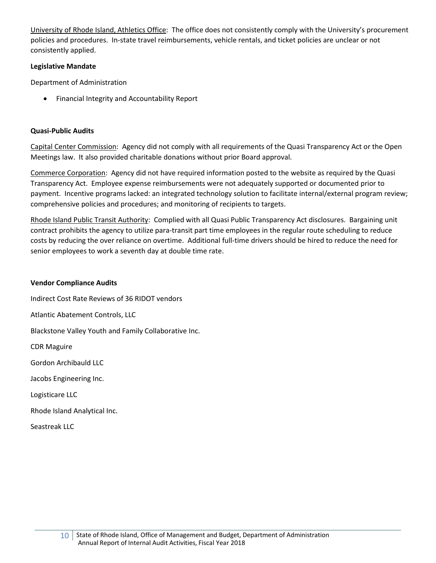University of Rhode Island, Athletics Office: The office does not consistently comply with the University's procurement policies and procedures. In-state travel reimbursements, vehicle rentals, and ticket policies are unclear or not consistently applied.

#### **Legislative Mandate**

Department of Administration

• Financial Integrity and Accountability Report

#### **Quasi-Public Audits**

Capital Center Commission: Agency did not comply with all requirements of the Quasi Transparency Act or the Open Meetings law. It also provided charitable donations without prior Board approval.

Commerce Corporation: Agency did not have required information posted to the website as required by the Quasi Transparency Act. Employee expense reimbursements were not adequately supported or documented prior to payment. Incentive programs lacked: an integrated technology solution to facilitate internal/external program review; comprehensive policies and procedures; and monitoring of recipients to targets.

Rhode Island Public Transit Authority: Complied with all Quasi Public Transparency Act disclosures. Bargaining unit contract prohibits the agency to utilize para-transit part time employees in the regular route scheduling to reduce costs by reducing the over reliance on overtime. Additional full-time drivers should be hired to reduce the need for senior employees to work a seventh day at double time rate.

#### **Vendor Compliance Audits**

Indirect Cost Rate Reviews of 36 RIDOT vendors Atlantic Abatement Controls, LLC

Blackstone Valley Youth and Family Collaborative Inc.

CDR Maguire

Gordon Archibauld LLC

Jacobs Engineering Inc.

Logisticare LLC

Rhode Island Analytical Inc.

Seastreak LLC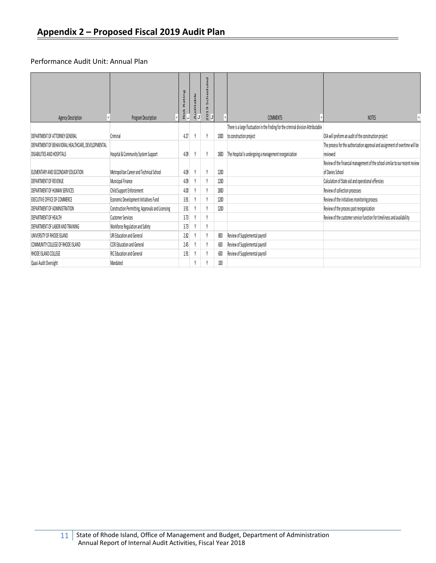#### <span id="page-11-0"></span>Performance Audit Unit: Annual Plan

|                                                    |                                                  | Rating<br>Risk<br>, | uditable | τ<br>$\mathbf{u}$<br>$\Omega$<br>$\frac{0}{N}$ |      |                                                                                    |                                                                               |
|----------------------------------------------------|--------------------------------------------------|---------------------|----------|------------------------------------------------|------|------------------------------------------------------------------------------------|-------------------------------------------------------------------------------|
| <b>Agency Description</b>                          | Program Description                              |                     | ∢ ज      |                                                |      | <b>COMMENTS</b>                                                                    | <b>NOTES</b>                                                                  |
|                                                    |                                                  |                     |          |                                                |      | There is a large fluctuation in the finding for the criminal division Attributable |                                                                               |
| DEPARTMENT OF ATTORNEY GENERAL                     | Criminal                                         | 4.27                |          |                                                | 1000 | to construction project                                                            | OIA will preform an audit of the construction project                         |
| DEPARTMENT OF BEHAVIORAL HEALTHCARE, DEVELOPMENTAL |                                                  |                     |          |                                                |      |                                                                                    | The process for the authorization approval and assignment of overtime will be |
| <b>DISABILITIES AND HOSPITALS</b>                  | Hospital & Community System Support              | 4.09                |          |                                                | 1800 | The Hospital Is undergoing a management reorganization                             | reviewed                                                                      |
|                                                    |                                                  |                     |          |                                                |      |                                                                                    | Review of the financial management of the school similar to our recent review |
| ELEMENTARY AND SECONDARY EDUCATION                 | Metropolitan Career and Technical School         | 4.09                |          |                                                | 1200 |                                                                                    | of Davies School                                                              |
| <b>DEPARTMENT OF REVENUE</b>                       | Municipal Finance                                | 4.09                |          |                                                | 1200 |                                                                                    | Calculation of State aid and operational effencies                            |
| <b>DEPARTMENT OF HUMAN SERVICES</b>                | Child Support Enforcement                        | 4.00                |          |                                                | 1800 |                                                                                    | Review of collection processes                                                |
| EXECUTIVE OFFICE OF COMMERCE                       | Economic Development Initiatives Fund            | 3.91                |          |                                                | 1200 |                                                                                    | Review of the initiatives monitoring process                                  |
| <b>DEPARTMENT OF ADMINISTRATION</b>                | Construction Permitting, Approvals and Licensing | 3.91                |          |                                                | 1200 |                                                                                    | Review of the process post reorganization                                     |
| <b>DEPARTMENT OF HEALTH</b>                        | <b>Customer Services</b>                         | 3.73                |          |                                                |      |                                                                                    | Review of the customer service function for timeliness and availability       |
| <b>DEPARTMENT OF LABOR AND TRAINING</b>            | Workforce Regulation and Safety                  | 3.73                |          |                                                |      |                                                                                    |                                                                               |
| UNIVERSITY OF RHODE ISLAND                         | URI Education and General                        | 2.82                |          |                                                | 800  | Review of Supplemental payroll                                                     |                                                                               |
| COMMUNITY COLLEGE OF RHODE ISLAND                  | <b>CCRI Education and General</b>                | 2.45                |          |                                                | 600  | Review of Supplemental payroll                                                     |                                                                               |
| RHODE ISLAND COLLEGE                               | <b>RIC Education and General</b>                 | 1.91                |          |                                                | 600  | Review of Supplemental payroll                                                     |                                                                               |
| Quasi Audit Oversight                              | Mandated                                         |                     |          |                                                | 100  |                                                                                    |                                                                               |